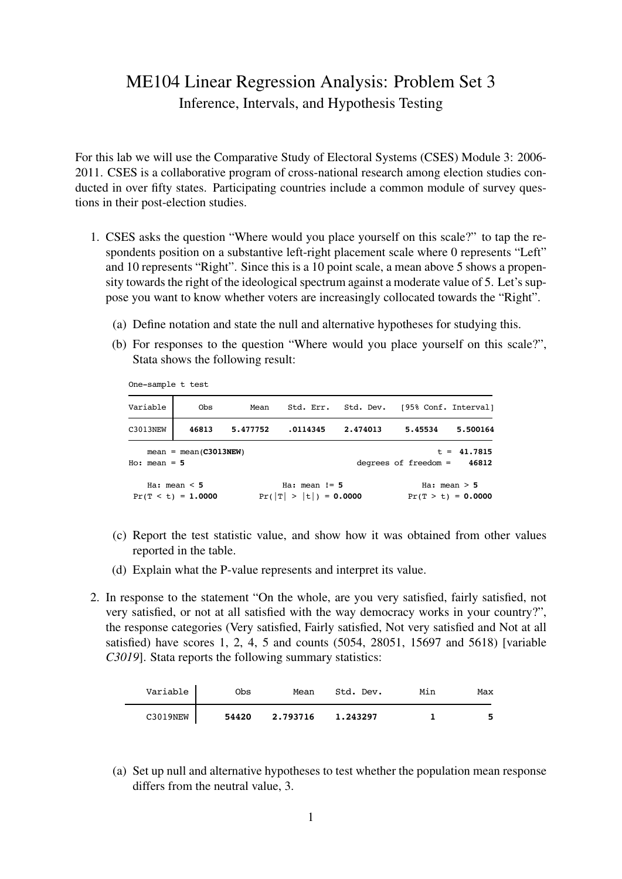## ME104 Linear Regression Analysis: Problem Set 3 Inference, Intervals, and Hypothesis Testing

For this lab we will use the Comparative Study of Electoral Systems (CSES) Module 3: 2006- 2011. CSES is a collaborative program of cross-national research among election studies conducted in over fifty states. Participating countries include a common module of survey questions in their post-election studies.

- 1. CSES asks the question "Where would you place yourself on this scale?" to tap the respondents position on a substantive left-right placement scale where 0 represents "Left" and 10 represents "Right". Since this is a 10 point scale, a mean above 5 shows a propensity towards the right of the ideological spectrum against a moderate value of 5. Let's suppose you want to know whether voters are increasingly collocated towards the "Right".
	- (a) Define notation and state the null and alternative hypotheses for studying this.
- (b) For responses to the question "Where would you place yourself on this scale?", Stata shows the following result:

One-sample t test

| Variable       | Obs                                       | Mean     |                                               |          | Std. Err. Std. Dev. [95% Conf. Interval] |                                        |
|----------------|-------------------------------------------|----------|-----------------------------------------------|----------|------------------------------------------|----------------------------------------|
| C3013NEW       | 46813                                     | 5.477752 | .0114345                                      | 2.474013 | 5.45534                                  | 5.500164                               |
| $Ho: mean = 5$ | $mean = mean(C3013NEW)$                   |          |                                               |          | degrees of freedom =                     | $t = 41.7815$<br>46812                 |
|                | Ha: mean $\leq$ 5<br>$Pr(T < t) = 1.0000$ |          | Ha: $mean$ $!=$ 5<br>$Pr( T  >  t ) = 0.0000$ |          |                                          | Ha: $mean > 5$<br>$Pr(T > t) = 0.0000$ |

- (c) Report the test statistic value, and show how it was obtained from other values reported in the table.
- (d) Explain what the P-value represents and interpret its value.
- 2. In response to the statement "On the whole, are you very satisfied, fairly satisfied, not very satisfied, or not at all satisfied with the way democracy works in your country?", the response categories (Very satisfied, Fairly satisfied, Not very satisfied and Not at all satisfied) have scores 1, 2, 4, 5 and counts (5054, 28051, 15697 and 5618) [variable *C3019*]. Stata reports the following summary statistics:

| Variable | Obs   | Mean     | Std. Dev. | Min | Max |
|----------|-------|----------|-----------|-----|-----|
| C3019NEW | 54420 | 2.793716 | 1.243297  |     | 5   |

(a) Set up null and alternative hypotheses to test whether the population mean response differs from the neutral value, 3.